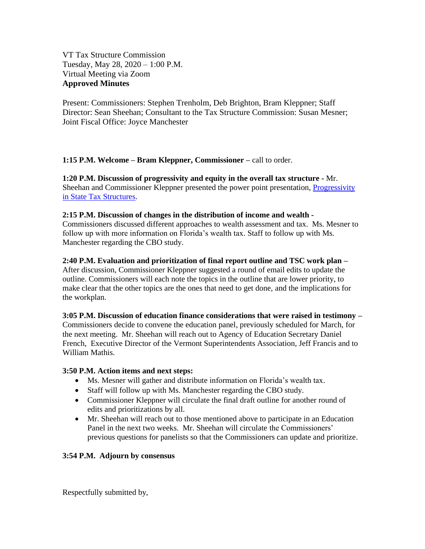VT Tax Structure Commission Tuesday, May 28, 2020 – 1:00 P.M. Virtual Meeting via Zoom **Approved Minutes**

Present: Commissioners: Stephen Trenholm, Deb Brighton, Bram Kleppner; Staff Director: Sean Sheehan; Consultant to the Tax Structure Commission: Susan Mesner; Joint Fiscal Office: Joyce Manchester

**1:15 P.M. Welcome – Bram Kleppner, Commissioner –** call to order.

**1:20 P.M. Discussion of progressivity and equity in the overall tax structure -** Mr. Sheehan and Commissioner Kleppner presented the power point presentation, [Progressivity](https://ljfo.vermont.gov/assets/Meetings/Tax-Structure-Commission/2020-05-28/992af3a8b0/progressivity-in-tax-structure-May-28-2020.pdf)  [in State Tax Structures](https://ljfo.vermont.gov/assets/Meetings/Tax-Structure-Commission/2020-05-28/992af3a8b0/progressivity-in-tax-structure-May-28-2020.pdf).

## **2:15 P.M. Discussion of changes in the distribution of income and wealth -**

Commissioners discussed different approaches to wealth assessment and tax. Ms. Mesner to follow up with more information on Florida's wealth tax. Staff to follow up with Ms. Manchester regarding the CBO study.

## **2:40 P.M. Evaluation and prioritization of final report outline and TSC work plan –**

After discussion, Commissioner Kleppner suggested a round of email edits to update the outline. Commissioners will each note the topics in the outline that are lower priority, to make clear that the other topics are the ones that need to get done, and the implications for the workplan.

# **3:05 P.M. Discussion of education finance considerations that were raised in testimony –**

Commissioners decide to convene the education panel, previously scheduled for March, for the next meeting. Mr. Sheehan will reach out to Agency of Education Secretary Daniel French, Executive Director of the Vermont Superintendents Association, Jeff Francis and to William Mathis.

# **3:50 P.M. Action items and next steps:**

- Ms. Mesner will gather and distribute information on Florida's wealth tax.
- Staff will follow up with Ms. Manchester regarding the CBO study.
- Commissioner Kleppner will circulate the final draft outline for another round of edits and prioritizations by all.
- Mr. Sheehan will reach out to those mentioned above to participate in an Education Panel in the next two weeks. Mr. Sheehan will circulate the Commissioners' previous questions for panelists so that the Commissioners can update and prioritize.

# **3:54 P.M. Adjourn by consensus**

Respectfully submitted by,